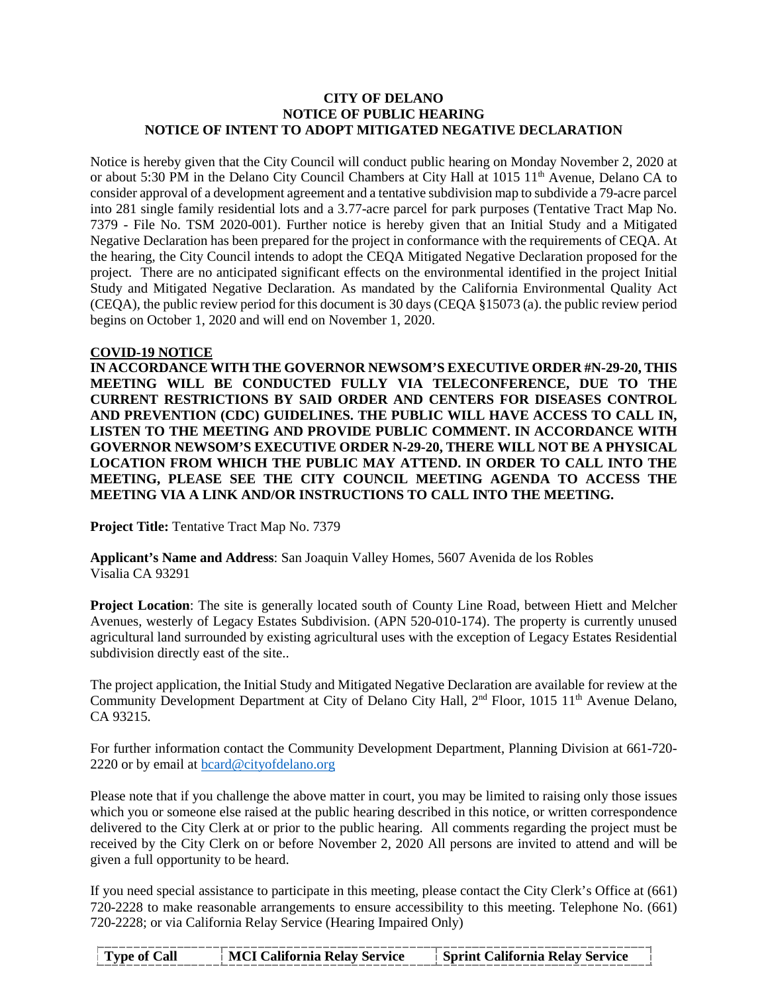## **CITY OF DELANO NOTICE OF PUBLIC HEARING NOTICE OF INTENT TO ADOPT MITIGATED NEGATIVE DECLARATION**

Notice is hereby given that the City Council will conduct public hearing on Monday November 2, 2020 at or about 5:30 PM in the Delano City Council Chambers at City Hall at 1015 11<sup>th</sup> Avenue, Delano CA to consider approval of a development agreement and a tentative subdivision map to subdivide a 79-acre parcel into 281 single family residential lots and a 3.77-acre parcel for park purposes (Tentative Tract Map No. 7379 - File No. TSM 2020-001). Further notice is hereby given that an Initial Study and a Mitigated Negative Declaration has been prepared for the project in conformance with the requirements of CEQA. At the hearing, the City Council intends to adopt the CEQA Mitigated Negative Declaration proposed for the project. There are no anticipated significant effects on the environmental identified in the project Initial Study and Mitigated Negative Declaration. As mandated by the California Environmental Quality Act (CEQA), the public review period for this document is 30 days (CEQA §15073 (a). the public review period begins on October 1, 2020 and will end on November 1, 2020.

## **COVID-19 NOTICE**

**IN ACCORDANCE WITH THE GOVERNOR NEWSOM'S EXECUTIVE ORDER #N-29-20, THIS MEETING WILL BE CONDUCTED FULLY VIA TELECONFERENCE, DUE TO THE CURRENT RESTRICTIONS BY SAID ORDER AND CENTERS FOR DISEASES CONTROL AND PREVENTION (CDC) GUIDELINES. THE PUBLIC WILL HAVE ACCESS TO CALL IN, LISTEN TO THE MEETING AND PROVIDE PUBLIC COMMENT. IN ACCORDANCE WITH GOVERNOR NEWSOM'S EXECUTIVE ORDER N-29-20, THERE WILL NOT BE A PHYSICAL LOCATION FROM WHICH THE PUBLIC MAY ATTEND. IN ORDER TO CALL INTO THE MEETING, PLEASE SEE THE CITY COUNCIL MEETING AGENDA TO ACCESS THE MEETING VIA A LINK AND/OR INSTRUCTIONS TO CALL INTO THE MEETING.**

**Project Title:** Tentative Tract Map No. 7379

**Applicant's Name and Address**: San Joaquin Valley Homes, 5607 Avenida de los Robles Visalia CA 93291

**Project Location**: The site is generally located south of County Line Road, between Hiett and Melcher Avenues, westerly of Legacy Estates Subdivision. (APN 520-010-174). The property is currently unused agricultural land surrounded by existing agricultural uses with the exception of Legacy Estates Residential subdivision directly east of the site..

The project application, the Initial Study and Mitigated Negative Declaration are available for review at the Community Development Department at City of Delano City Hall, 2<sup>nd</sup> Floor, 1015 11<sup>th</sup> Avenue Delano, CA 93215.

For further information contact the Community Development Department, Planning Division at 661-720 2220 or by email at [bcard@cityofdelano.org](mailto:bcard@cityofdelano.org)

Please note that if you challenge the above matter in court, you may be limited to raising only those issues which you or someone else raised at the public hearing described in this notice, or written correspondence delivered to the City Clerk at or prior to the public hearing. All comments regarding the project must be received by the City Clerk on or before November 2, 2020 All persons are invited to attend and will be given a full opportunity to be heard.

If you need special assistance to participate in this meeting, please contact the City Clerk's Office at (661) 720-2228 to make reasonable arrangements to ensure accessibility to this meeting. Telephone No. (661) 720-2228; or via California Relay Service (Hearing Impaired Only)

| Type of Call | MCI California Relay Service | <b>Sprint California Relay Service</b> |
|--------------|------------------------------|----------------------------------------|
|              |                              |                                        |
|              |                              |                                        |